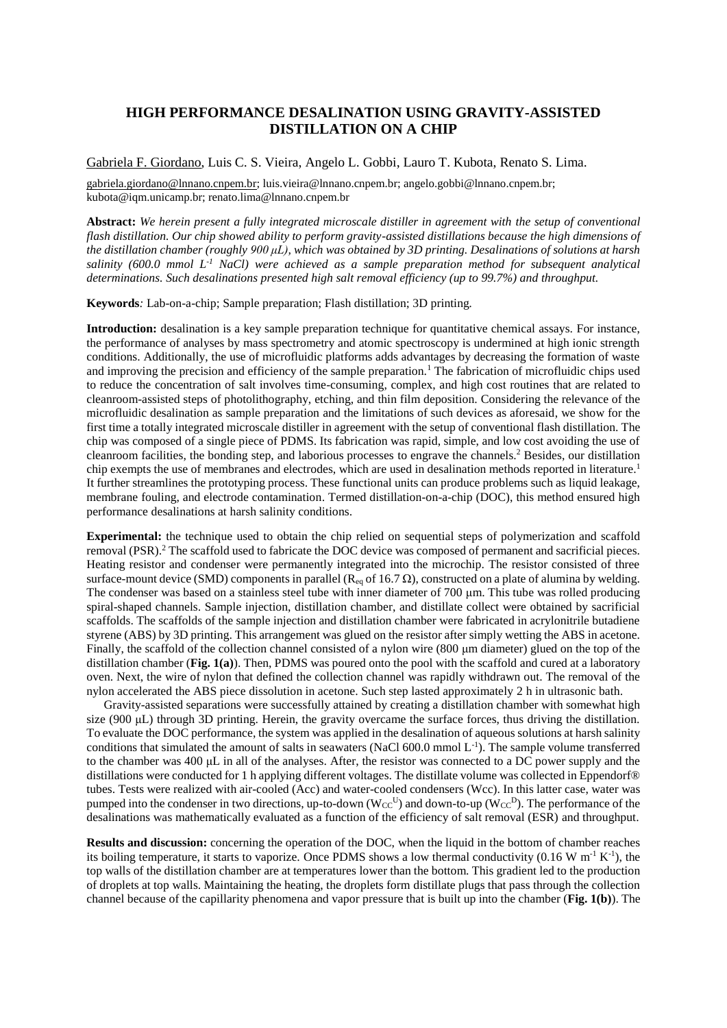## **HIGH PERFORMANCE DESALINATION USING GRAVITY-ASSISTED DISTILLATION ON A CHIP**

## Gabriela F. Giordano, Luis C. S. Vieira, Angelo L. Gobbi, Lauro T. Kubota, Renato S. Lima.

gabriela.giordano@lnnano.cnpem.br; luis.vieira@lnnano.cnpem.br; angelo.gobbi@lnnano.cnpem.br; kubota@iqm.unicamp.br; renato.lima@lnnano.cnpem.br

**Abstract:** *We herein present a fully integrated microscale distiller in agreement with the setup of conventional flash distillation. Our chip showed ability to perform gravity-assisted distillations because the high dimensions of the distillation chamber (roughly 900 μL), which was obtained by 3D printing. Desalinations of solutions at harsh salinity (600.0 mmol L-1 NaCl) were achieved as a sample preparation method for subsequent analytical determinations. Such desalinations presented high salt removal efficiency (up to 99.7%) and throughput.*

**Keywords***:* Lab-on-a-chip; Sample preparation; Flash distillation; 3D printing*.*

**Introduction:** desalination is a key sample preparation technique for quantitative chemical assays. For instance, the performance of analyses by mass spectrometry and atomic spectroscopy is undermined at high ionic strength conditions. Additionally, the use of microfluidic platforms adds advantages by decreasing the formation of waste and improving the precision and efficiency of the sample preparation.<sup>1</sup> The fabrication of microfluidic chips used to reduce the concentration of salt involves time-consuming, complex, and high cost routines that are related to cleanroom-assisted steps of photolithography, etching, and thin film deposition. Considering the relevance of the microfluidic desalination as sample preparation and the limitations of such devices as aforesaid, we show for the first time a totally integrated microscale distiller in agreement with the setup of conventional flash distillation. The chip was composed of a single piece of PDMS. Its fabrication was rapid, simple, and low cost avoiding the use of cleanroom facilities, the bonding step, and laborious processes to engrave the channels.<sup>2</sup> Besides, our distillation chip exempts the use of membranes and electrodes, which are used in desalination methods reported in literature.<sup>1</sup> It further streamlines the prototyping process. These functional units can produce problems such as liquid leakage, membrane fouling, and electrode contamination. Termed distillation-on-a-chip (DOC), this method ensured high performance desalinations at harsh salinity conditions.

**Experimental:** the technique used to obtain the chip relied on sequential steps of polymerization and scaffold removal (PSR).<sup>2</sup> The scaffold used to fabricate the DOC device was composed of permanent and sacrificial pieces. Heating resistor and condenser were permanently integrated into the microchip. The resistor consisted of three surface-mount device (SMD) components in parallel ( $\text{R}_{eq}$  of 16.7  $\Omega$ ), constructed on a plate of alumina by welding. The condenser was based on a stainless steel tube with inner diameter of 700 μm. This tube was rolled producing spiral-shaped channels. Sample injection, distillation chamber, and distillate collect were obtained by sacrificial scaffolds. The scaffolds of the sample injection and distillation chamber were fabricated in acrylonitrile butadiene styrene (ABS) by 3D printing. This arrangement was glued on the resistor after simply wetting the ABS in acetone. Finally, the scaffold of the collection channel consisted of a nylon wire (800 μm diameter) glued on the top of the distillation chamber (**Fig. 1(a)**). Then, PDMS was poured onto the pool with the scaffold and cured at a laboratory oven. Next, the wire of nylon that defined the collection channel was rapidly withdrawn out. The removal of the nylon accelerated the ABS piece dissolution in acetone. Such step lasted approximately 2 h in ultrasonic bath.

Gravity-assisted separations were successfully attained by creating a distillation chamber with somewhat high size (900 μL) through 3D printing. Herein, the gravity overcame the surface forces, thus driving the distillation. To evaluate the DOC performance, the system was applied in the desalination of aqueous solutions at harsh salinity conditions that simulated the amount of salts in seawaters (NaCl  $600.0$  mmol  $L^{-1}$ ). The sample volume transferred to the chamber was 400 μL in all of the analyses. After, the resistor was connected to a DC power supply and the distillations were conducted for 1 h applying different voltages. The distillate volume was collected in Eppendorf® tubes. Tests were realized with air-cooled (Acc) and water-cooled condensers (Wcc). In this latter case, water was pumped into the condenser in two directions, up-to-down ( $W_{CC}^{U}$ ) and down-to-up ( $W_{CC}^{D}$ ). The performance of the desalinations was mathematically evaluated as a function of the efficiency of salt removal (ESR) and throughput.

**Results and discussion:** concerning the operation of the DOC, when the liquid in the bottom of chamber reaches its boiling temperature, it starts to vaporize. Once PDMS shows a low thermal conductivity (0.16 W m<sup>-1</sup> K<sup>-1</sup>), the top walls of the distillation chamber are at temperatures lower than the bottom. This gradient led to the production of droplets at top walls. Maintaining the heating, the droplets form distillate plugs that pass through the collection channel because of the capillarity phenomena and vapor pressure that is built up into the chamber (**Fig. 1(b)**). The